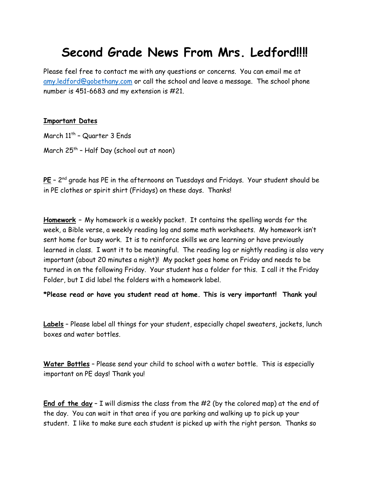# **Second Grade News From Mrs. Ledford!!!!**

Please feel free to contact me with any questions or concerns. You can email me at [amy.ledford@gobethany.com](mailto:amy.ledford@gobethany.com) or call the school and leave a message. The school phone number is 451-6683 and my extension is #21.

#### **Important Dates**

March 11<sup>th</sup> – Quarter 3 Ends March 25th – Half Day (school out at noon)

**PE** – 2 nd grade has PE in the afternoons on Tuesdays and Fridays. Your student should be in PE clothes or spirit shirt (Fridays) on these days. Thanks!

**Homework –** My homework is a weekly packet. It contains the spelling words for the week, a Bible verse, a weekly reading log and some math worksheets. My homework isn't sent home for busy work. It is to reinforce skills we are learning or have previously learned in class. I want it to be meaningful. The reading log or nightly reading is also very important (about 20 minutes a night)! My packet goes home on Friday and needs to be turned in on the following Friday. Your student has a folder for this. I call it the Friday Folder, but I did label the folders with a homework label.

**\*Please read or have you student read at home. This is very important! Thank you!**

**Labels** – Please label all things for your student, especially chapel sweaters, jackets, lunch boxes and water bottles.

**Water Bottles** – Please send your child to school with a water bottle. This is especially important on PE days! Thank you!

**End of the day** – I will dismiss the class from the #2 (by the colored map) at the end of the day. You can wait in that area if you are parking and walking up to pick up your student. I like to make sure each student is picked up with the right person. Thanks so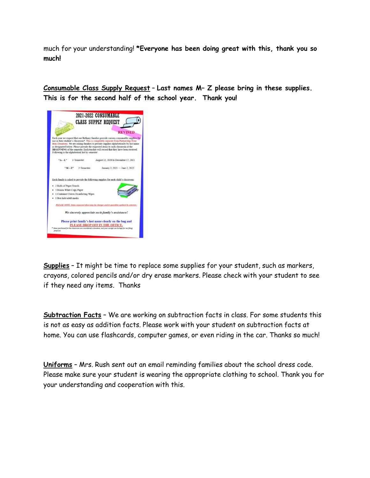much for your understanding! **\*Everyone has been doing great with this, thank you so much!**

**Consumable Class Supply Request** – **Last names M– Z please bring in these supplies. This is for the second half of the school year. Thank you!**



**Supplies** – It might be time to replace some supplies for your student, such as markers, crayons, colored pencils and/or dry erase markers. Please check with your student to see if they need any items. Thanks

**Subtraction Facts** – We are working on subtraction facts in class. For some students this is not as easy as addition facts. Please work with your student on subtraction facts at home. You can use flashcards, computer games, or even riding in the car. Thanks so much!

**Uniforms** – Mrs. Rush sent out an email reminding families about the school dress code. Please make sure your student is wearing the appropriate clothing to school. Thank you for your understanding and cooperation with this.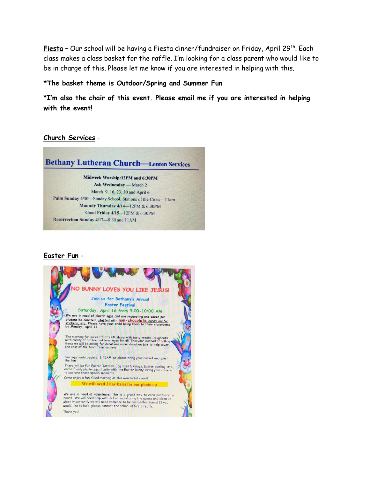**Fiesta** - Our school will be having a Fiesta dinner/fundraiser on Friday, April 29<sup>th</sup>. Each class makes a class basket for the raffle. I'm looking for a class parent who would like to be in charge of this. Please let me know if you are interested in helping with this.

#### **\*The basket theme is Outdoor/Spring and Summer Fun**

**\*I'm also the chair of this event. Please email me if you are interested in helping with the event!**

### **Church Services** -



Ash Wednesday - March 2 March 9, 16, 23, 30 and April 6 Palm Sunday 4/10-Sunday School, Stations of the Cross-11am Maundy Thursday 4/14-12PM & 6:30PM Good Friday 4/15-12PM & 6:30PM Resurrection Sunday 4/17-8:30 and 11AM

## **Easter Fun** -

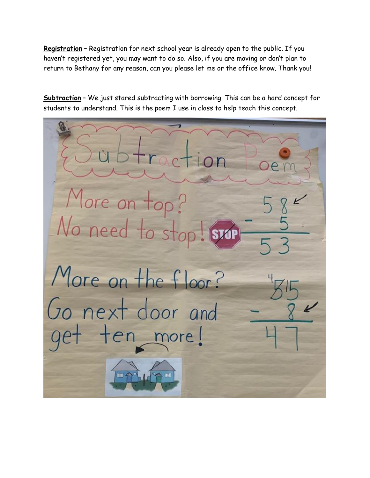**Registration** – Registration for next school year is already open to the public. If you haven't registered yet, you may want to do so. Also, if you are moving or don't plan to return to Bethany for any reason, can you please let me or the office know. Thank you!

**Subtraction** – We just stared subtracting with borrowing. This can be a hard concept for students to understand. This is the poem I use in class to help teach this concept.

More on top? No need to sto More on the floor? Go next door and ten more! 疆